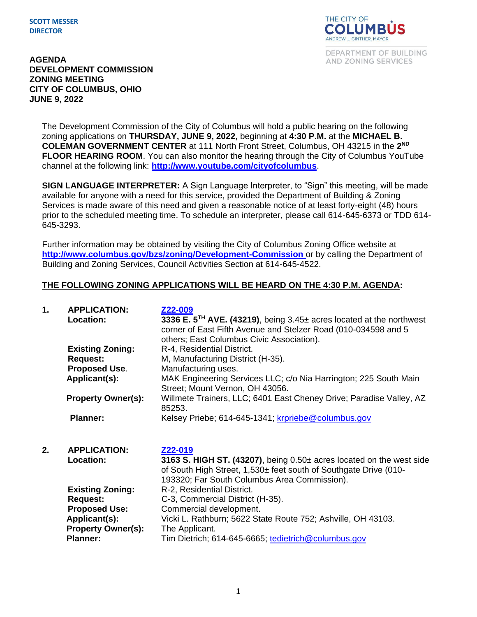## **SCOTT MESSER DIRECTOR**



DEPARTMENT OF BUILDING AND ZONING SERVICES

## **AGENDA DEVELOPMENT COMMISSION ZONING MEETING CITY OF COLUMBUS, OHIO JUNE 9, 2022**

The Development Commission of the City of Columbus will hold a public hearing on the following zoning applications on **THURSDAY, JUNE 9, 2022,** beginning at **4:30 P.M.** at the **MICHAEL B. COLEMAN GOVERNMENT CENTER** at 111 North Front Street, Columbus, OH 43215 in the **2 ND FLOOR HEARING ROOM**. You can also monitor the hearing through the City of Columbus YouTube channel at the following link: **<http://www.youtube.com/cityofcolumbus>**.

**SIGN LANGUAGE INTERPRETER:** A Sign Language Interpreter, to "Sign" this meeting, will be made available for anyone with a need for this service, provided the Department of Building & Zoning Services is made aware of this need and given a reasonable notice of at least forty-eight (48) hours prior to the scheduled meeting time. To schedule an interpreter, please call 614-645-6373 or TDD 614- 645-3293.

Further information may be obtained by visiting the City of Columbus Zoning Office website at **http://www.columbus.gov/bzs/zoning/Development-Commission** or by calling the Department of Building and Zoning Services, Council Activities Section at 614-645-4522.

## **THE FOLLOWING ZONING APPLICATIONS WILL BE HEARD ON THE 4:30 P.M. AGENDA:**

| 1. | <b>APPLICATION:</b><br><b>Location:</b> | Z22-009<br>3336 E. 5 <sup>TH</sup> AVE. (43219), being 3.45± acres located at the northwest<br>corner of East Fifth Avenue and Stelzer Road (010-034598 and 5<br>others; East Columbus Civic Association). |
|----|-----------------------------------------|------------------------------------------------------------------------------------------------------------------------------------------------------------------------------------------------------------|
|    | <b>Existing Zoning:</b>                 | R-4, Residential District.                                                                                                                                                                                 |
|    | <b>Request:</b>                         | M, Manufacturing District (H-35).                                                                                                                                                                          |
|    | <b>Proposed Use.</b>                    | Manufacturing uses.                                                                                                                                                                                        |
|    | Applicant(s):                           | MAK Engineering Services LLC; c/o Nia Harrington; 225 South Main<br>Street; Mount Vernon, OH 43056.                                                                                                        |
|    | <b>Property Owner(s):</b>               | Willmete Trainers, LLC; 6401 East Cheney Drive; Paradise Valley, AZ<br>85253.                                                                                                                              |
|    | <b>Planner:</b>                         | Kelsey Priebe; 614-645-1341; krpriebe@columbus.gov                                                                                                                                                         |

**2. APPLICATION: [Z22-019](https://portal.columbus.gov/permits/urlrouting.ashx?type=1000&Module=Zoning&capID1=22LAC&capID2=00000&capID3=00264&agencyCode=COLUMBUS&HideHeader=true) Location: 3163 S. HIGH ST. (43207)**, being 0.50± acres located on the west side of South High Street, 1,530± feet south of Southgate Drive (010- 193320; Far South Columbus Area Commission). **Existing Zoning:** R-2, Residential District. **Request:** C-3, Commercial District (H-35). **Proposed Use:** Commercial development. Applicant(s): Vicki L. Rathburn; 5622 State Route 752; Ashville, OH 43103.<br>Property Owner(s): The Applicant. **Property Owner(s): Planner:** Tim Dietrich; 614-645-6665; [tedietrich@columbus.gov](mailto:tedietrich@columbus.gov)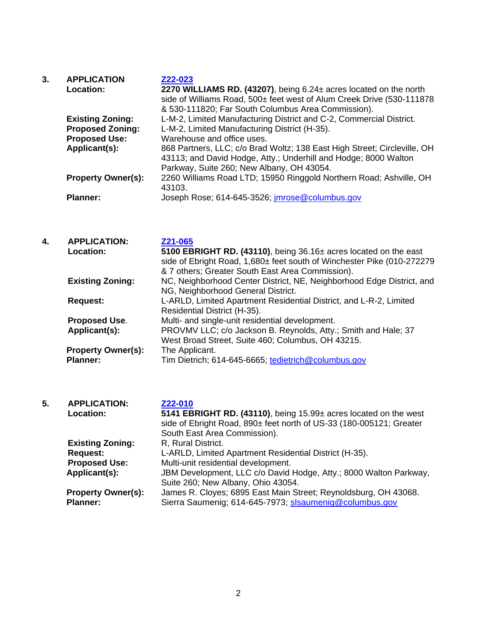| 3. | <b>APPLICATION</b>        | Z22-023                                                                  |
|----|---------------------------|--------------------------------------------------------------------------|
|    | Location:                 | 2270 WILLIAMS RD. (43207), being 6.24± acres located on the north        |
|    |                           | side of Williams Road, 500± feet west of Alum Creek Drive (530-111878    |
|    |                           | & 530-111820; Far South Columbus Area Commission).                       |
|    | <b>Existing Zoning:</b>   | L-M-2, Limited Manufacturing District and C-2, Commercial District.      |
|    | <b>Proposed Zoning:</b>   | L-M-2, Limited Manufacturing District (H-35).                            |
|    | <b>Proposed Use:</b>      | Warehouse and office uses.                                               |
|    | Applicant(s):             | 868 Partners, LLC; c/o Brad Woltz; 138 East High Street; Circleville, OH |
|    |                           | 43113; and David Hodge, Atty.; Underhill and Hodge; 8000 Walton          |
|    |                           | Parkway, Suite 260; New Albany, OH 43054.                                |
|    | <b>Property Owner(s):</b> | 2260 Williams Road LTD; 15950 Ringgold Northern Road; Ashville, OH       |
|    |                           | 43103.                                                                   |
|    | <b>Planner:</b>           | Joseph Rose; 614-645-3526; <i>imrose@columbus.gov</i>                    |

| 4. | <b>APPLICATION:</b>       | Z21-065                                                                |
|----|---------------------------|------------------------------------------------------------------------|
|    | <b>Location:</b>          | 5100 EBRIGHT RD. (43110), being 36.16± acres located on the east       |
|    |                           | side of Ebright Road, 1,680± feet south of Winchester Pike (010-272279 |
|    |                           | & 7 others; Greater South East Area Commission).                       |
|    | <b>Existing Zoning:</b>   | NC, Neighborhood Center District, NE, Neighborhood Edge District, and  |
|    |                           | NG, Neighborhood General District.                                     |
|    | <b>Request:</b>           | L-ARLD, Limited Apartment Residential District, and L-R-2, Limited     |
|    |                           | Residential District (H-35).                                           |
|    | <b>Proposed Use.</b>      | Multi- and single-unit residential development.                        |
|    | Applicant(s):             | PROVMV LLC; c/o Jackson B. Reynolds, Atty.; Smith and Hale; 37         |
|    |                           | West Broad Street, Suite 460; Columbus, OH 43215.                      |
|    | <b>Property Owner(s):</b> | The Applicant.                                                         |
|    | <b>Planner:</b>           | Tim Dietrich; 614-645-6665; tedietrich@columbus.gov                    |
|    |                           |                                                                        |

| 5. | <b>APPLICATION:</b><br>Location:             | Z22-010<br>5141 EBRIGHT RD. (43110), being 15.99± acres located on the west<br>side of Ebright Road, 890± feet north of US-33 (180-005121; Greater<br>South East Area Commission). |
|----|----------------------------------------------|------------------------------------------------------------------------------------------------------------------------------------------------------------------------------------|
|    | <b>Existing Zoning:</b>                      | R, Rural District.                                                                                                                                                                 |
|    | <b>Request:</b>                              | L-ARLD, Limited Apartment Residential District (H-35).                                                                                                                             |
|    | <b>Proposed Use:</b>                         | Multi-unit residential development.                                                                                                                                                |
|    | Applicant(s):                                | JBM Development, LLC c/o David Hodge, Atty.; 8000 Walton Parkway,<br>Suite 260; New Albany, Ohio 43054.                                                                            |
|    | <b>Property Owner(s):</b><br><b>Planner:</b> | James R. Cloyes; 6895 East Main Street; Reynoldsburg, OH 43068.<br>Sierra Saumenig; 614-645-7973; slsaumenig@columbus.gov                                                          |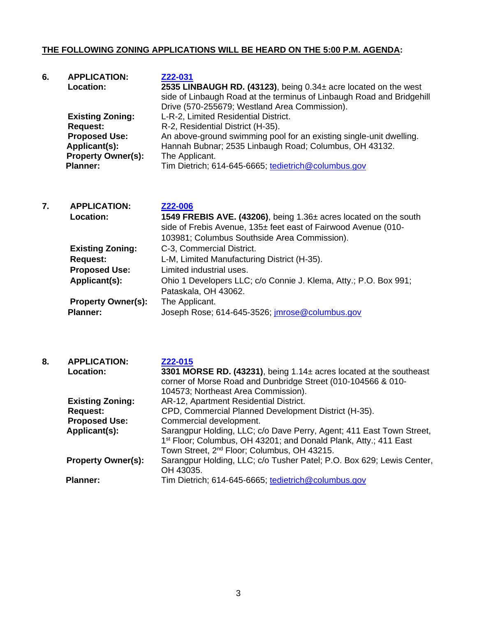## **THE FOLLOWING ZONING APPLICATIONS WILL BE HEARD ON THE 5:00 P.M. AGENDA:**

| 6. | <b>APPLICATION:</b>       | Z22-031                                                               |
|----|---------------------------|-----------------------------------------------------------------------|
|    | <b>Location:</b>          | 2535 LINBAUGH RD. (43123), being 0.34± acre located on the west       |
|    |                           | side of Linbaugh Road at the terminus of Linbaugh Road and Bridgehill |
|    |                           | Drive (570-255679; Westland Area Commission).                         |
|    | <b>Existing Zoning:</b>   | L-R-2, Limited Residential District.                                  |
|    | <b>Request:</b>           | R-2, Residential District (H-35).                                     |
|    | <b>Proposed Use:</b>      | An above-ground swimming pool for an existing single-unit dwelling.   |
|    | Applicant(s):             | Hannah Bubnar; 2535 Linbaugh Road; Columbus, OH 43132.                |
|    | <b>Property Owner(s):</b> | The Applicant.                                                        |
|    | <b>Planner:</b>           | Tim Dietrich; 614-645-6665; tedietrich@columbus.gov                   |

| 7. | <b>APPLICATION:</b><br><b>Location:</b> | Z22-006<br>1549 FREBIS AVE. (43206), being 1.36± acres located on the south<br>side of Frebis Avenue, 135± feet east of Fairwood Avenue (010- |
|----|-----------------------------------------|-----------------------------------------------------------------------------------------------------------------------------------------------|
|    |                                         | 103981; Columbus Southside Area Commission).                                                                                                  |
|    | <b>Existing Zoning:</b>                 | C-3, Commercial District.                                                                                                                     |
|    | <b>Request:</b>                         | L-M, Limited Manufacturing District (H-35).                                                                                                   |
|    | <b>Proposed Use:</b>                    | Limited industrial uses.                                                                                                                      |
|    | Applicant(s):                           | Ohio 1 Developers LLC; c/o Connie J. Klema, Atty.; P.O. Box 991;                                                                              |
|    |                                         | Pataskala, OH 43062.                                                                                                                          |
|    | <b>Property Owner(s):</b>               | The Applicant.                                                                                                                                |
|    | <b>Planner:</b>                         | Joseph Rose; 614-645-3526; <i>imrose@columbus.gov</i>                                                                                         |

| 8. | <b>APPLICATION:</b><br><b>Location:</b> | Z22-015<br>3301 MORSE RD. (43231), being 1.14± acres located at the southeast<br>corner of Morse Road and Dunbridge Street (010-104566 & 010-                                                                   |
|----|-----------------------------------------|-----------------------------------------------------------------------------------------------------------------------------------------------------------------------------------------------------------------|
|    |                                         | 104573; Northeast Area Commission).                                                                                                                                                                             |
|    | <b>Existing Zoning:</b>                 | AR-12, Apartment Residential District.                                                                                                                                                                          |
|    | <b>Request:</b>                         | CPD, Commercial Planned Development District (H-35).                                                                                                                                                            |
|    | <b>Proposed Use:</b>                    | Commercial development.                                                                                                                                                                                         |
|    | Applicant(s):                           | Sarangpur Holding, LLC; c/o Dave Perry, Agent; 411 East Town Street,<br>1 <sup>st</sup> Floor; Columbus, OH 43201; and Donald Plank, Atty.; 411 East<br>Town Street, 2 <sup>nd</sup> Floor; Columbus, OH 43215. |
|    | <b>Property Owner(s):</b>               | Sarangpur Holding, LLC; c/o Tusher Patel; P.O. Box 629; Lewis Center,<br>OH 43035.                                                                                                                              |
|    | <b>Planner:</b>                         | Tim Dietrich; 614-645-6665; tedietrich@columbus.gov                                                                                                                                                             |